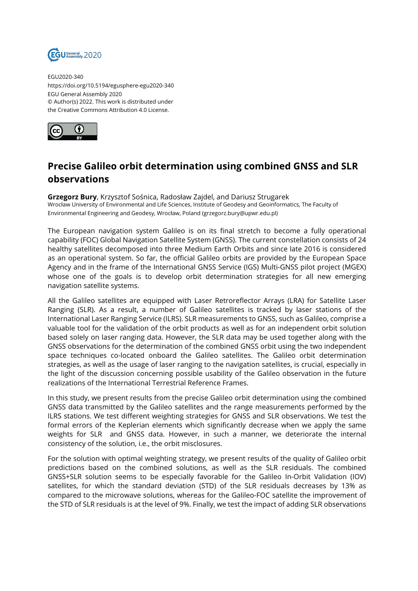

EGU2020-340 https://doi.org/10.5194/egusphere-egu2020-340 EGU General Assembly 2020 © Author(s) 2022. This work is distributed under the Creative Commons Attribution 4.0 License.



## **Precise Galileo orbit determination using combined GNSS and SLR observations**

**Grzegorz Bury**, Krzysztof Sośnica, Radosław Zajdel, and Dariusz Strugarek Wrocław University of Environmental and Life Sciences, Institute of Geodesy and Geoinformatics, The Faculty of Environmental Engineering and Geodesy, Wrocław, Poland (grzegorz.bury@upwr.edu.pl)

The European navigation system Galileo is on its final stretch to become a fully operational capability (FOC) Global Navigation Satellite System (GNSS). The current constellation consists of 24 healthy satellites decomposed into three Medium Earth Orbits and since late 2016 is considered as an operational system. So far, the official Galileo orbits are provided by the European Space Agency and in the frame of the International GNSS Service (IGS) Multi-GNSS pilot project (MGEX) whose one of the goals is to develop orbit determination strategies for all new emerging navigation satellite systems.

All the Galileo satellites are equipped with Laser Retroreflector Arrays (LRA) for Satellite Laser Ranging (SLR). As a result, a number of Galileo satellites is tracked by laser stations of the International Laser Ranging Service (ILRS). SLR measurements to GNSS, such as Galileo, comprise a valuable tool for the validation of the orbit products as well as for an independent orbit solution based solely on laser ranging data. However, the SLR data may be used together along with the GNSS observations for the determination of the combined GNSS orbit using the two independent space techniques co-located onboard the Galileo satellites. The Galileo orbit determination strategies, as well as the usage of laser ranging to the navigation satellites, is crucial, especially in the light of the discussion concerning possible usability of the Galileo observation in the future realizations of the International Terrestrial Reference Frames.

In this study, we present results from the precise Galileo orbit determination using the combined GNSS data transmitted by the Galileo satellites and the range measurements performed by the ILRS stations. We test different weighting strategies for GNSS and SLR observations. We test the formal errors of the Keplerian elements which significantly decrease when we apply the same weights for SLR and GNSS data. However, in such a manner, we deteriorate the internal consistency of the solution, i.e., the orbit misclosures.

For the solution with optimal weighting strategy, we present results of the quality of Galileo orbit predictions based on the combined solutions, as well as the SLR residuals. The combined GNSS+SLR solution seems to be especially favorable for the Galileo In-Orbit Validation (IOV) satellites, for which the standard deviation (STD) of the SLR residuals decreases by 13% as compared to the microwave solutions, whereas for the Galileo-FOC satellite the improvement of the STD of SLR residuals is at the level of 9%. Finally, we test the impact of adding SLR observations